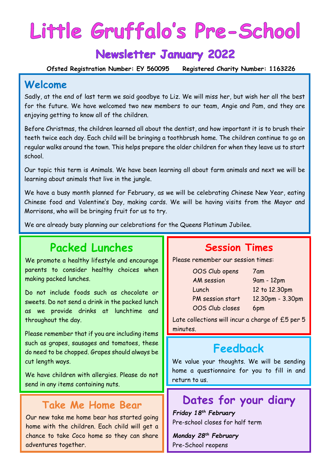# Little Gruffalo's Pre-School

# **Newsletter January 2022**

 **Ofsted Registration Number: EY 560095 Registered Charity Number: 1163226**

#### **Welcome**

Sadly, at the end of last term we said goodbye to Liz. We will miss her, but wish her all the best for the future. We have welcomed two new members to our team, Angie and Pam, and they are enjoying getting to know all of the children.

Before Christmas, the children learned all about the dentist, and how important it is to brush their teeth twice each day. Each child will be bringing a toothbrush home. The children continue to go on regular walks around the town. This helps prepare the older children for when they leave us to start school.

Our topic this term is Animals. We have been learning all about farm animals and next we will be learning about animals that live in the jungle.

We have a busy month planned for February, as we will be celebrating Chinese New Year, eating Chinese food and Valentine's Day, making cards. We will be having visits from the Mayor and Morrisons, who will be bringing fruit for us to try.

We are already busy planning our celebrations for the Queens Platinum Jubilee.

## **Packed Lunches**

We promote a healthy lifestyle and encourage parents to consider healthy choices when making packed lunches.

Do not include foods such as chocolate or sweets. Do not send a drink in the packed lunch as we provide drinks at lunchtime and throughout the day.

Please remember that if you are including items such as grapes, sausages and tomatoes, these do need to be chopped. Grapes should always be cut length ways.

We have children with allergies. Please do not send in any items containing nuts.

#### **Take Me Home Bear**

Our new take me home bear has started going home with the children. Each child will get a chance to take Coco home so they can share adventures together.

## **Session Times**

Please remember our session times:

7am 9am - 12pm 12 to 12.30pm 12.30pm - 3.30pm 6pm

Late collections will incur a charge of £5 per 5 minutes.

#### **Feedback**

We value your thoughts. We will be sending home a questionnaire for you to fill in and return to us.

## **Dates for your diary**

*Friday 18th February* Pre-school closes for half term

*Monday 28 th February* Pre-School reopens